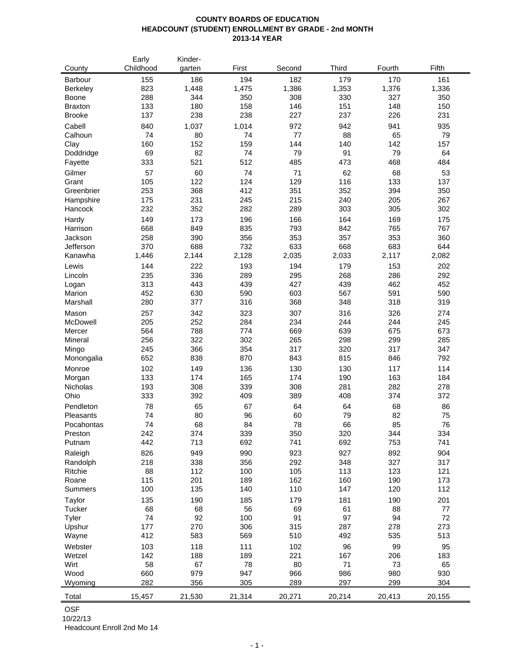### **COUNTY BOARDS OF EDUCATION HEADCOUNT (STUDENT) ENROLLMENT BY GRADE - 2nd MONTH 2013-14 YEAR**

| County          | Early<br>Childhood | Kinder-<br>garten | First    | Second   | <b>Third</b> | Fourth   | Fifth    |
|-----------------|--------------------|-------------------|----------|----------|--------------|----------|----------|
| Barbour         | 155                | 186               | 194      | 182      | 179          | 170      | 161      |
| <b>Berkeley</b> | 823                | 1,448             | 1,475    | 1,386    | 1,353        | 1,376    | 1,336    |
| Boone           | 288                | 344               | 350      | 308      | 330          | 327      | 350      |
| <b>Braxton</b>  | 133                | 180               | 158      | 146      | 151          | 148      | 150      |
| <b>Brooke</b>   | 137                | 238               | 238      | 227      | 237          | 226      | 231      |
|                 |                    |                   |          |          |              |          |          |
| Cabell          | 840                | 1,037             | 1,014    | 972      | 942          | 941      | 935      |
| Calhoun         | 74                 | 80                | 74       | 77       | 88           | 65       | 79       |
| Clay            | 160                | 152               | 159      | 144      | 140          | 142      | 157      |
| Doddridge       | 69                 | 82                | 74       | 79       | 91           | 79       | 64       |
| Fayette         | 333                | 521               | 512      | 485      | 473          | 468      | 484      |
| Gilmer          | 57                 | 60                | 74       | 71       | 62           | 68       | 53       |
| Grant           | 105                | 122               | 124      | 129      | 116          | 133      | 137      |
| Greenbrier      | 253                | 368               | 412      | 351      | 352          | 394      | 350      |
| Hampshire       | 175                | 231               | 245      | 215      | 240          | 205      | 267      |
| Hancock         | 232                | 352               | 282      | 289      | 303          | 305      | 302      |
| Hardy           | 149                | 173               | 196      | 166      | 164          | 169      | 175      |
| Harrison        | 668                | 849               | 835      | 793      | 842          | 765      | 767      |
| Jackson         | 258                | 390               | 356      | 353      | 357          | 353      | 360      |
| Jefferson       | 370                | 688               | 732      | 633      | 668          | 683      | 644      |
| Kanawha         | 1,446              | 2,144             | 2,128    | 2,035    | 2,033        | 2,117    | 2,082    |
|                 |                    |                   |          |          |              |          |          |
| Lewis           | 144                | 222               | 193      | 194      | 179          | 153      | 202      |
| Lincoln         | 235                | 336               | 289      | 295      | 268          | 286      | 292      |
| Logan           | 313                | 443               | 439      | 427      | 439          | 462      | 452      |
| Marion          | 452                | 630               | 590      | 603      | 567          | 591      | 590      |
| Marshall        | 280                | 377               | 316      | 368      | 348          | 318      | 319      |
| Mason           | 257                | 342               | 323      | 307      | 316          | 326      | 274      |
| McDowell        | 205                | 252               | 284      | 234      | 244          | 244      | 245      |
| Mercer          | 564                | 788               | 774      | 669      | 639          | 675      | 673      |
| Mineral         | 256                | 322               | 302      | 265      | 298          | 299      | 285      |
| Mingo           | 245                | 366               | 354      | 317      | 320          | 317      | 347      |
| Monongalia      | 652                | 838               | 870      | 843      | 815          | 846      | 792      |
| Monroe          | 102                | 149               | 136      | 130      | 130          | 117      | 114      |
| Morgan          | 133                | 174               | 165      | 174      | 190          | 163      | 184      |
| Nicholas        | 193                | 308               | 339      | 308      | 281          | 282      | 278      |
| Ohio            | 333                | 392               | 409      | 389      | 408          | 374      | 372      |
|                 | 78                 |                   |          |          |              |          |          |
| Pendleton       | 74                 | 65<br>80          | 67       | 64       | 64<br>79     | 68<br>82 | 86       |
| Pleasants       | 74                 | 68                | 96<br>84 | 60<br>78 |              | 85       | 75<br>76 |
| Pocahontas      |                    |                   |          |          | 66           |          |          |
| Preston         | 242                | 374               | 339      | 350      | 320          | 344      | 334      |
| Putnam          | 442                | 713               | 692      | 741      | 692          | 753      | 741      |
| Raleigh         | 826                | 949               | 990      | 923      | 927          | 892      | 904      |
| Randolph        | 218                | 338               | 356      | 292      | 348          | 327      | 317      |
| Ritchie         | 88                 | 112               | 100      | 105      | 113          | 123      | 121      |
| Roane           | 115                | 201               | 189      | 162      | 160          | 190      | 173      |
| Summers         | 100                | 135               | 140      | 110      | 147          | 120      | 112      |
| Taylor          | 135                | 190               | 185      | 179      | 181          | 190      | 201      |
| Tucker          | 68                 | 68                | 56       | 69       | 61           | 88       | 77       |
| Tyler           | 74                 | 92                | 100      | 91       | 97           | 94       | 72       |
| Upshur          | 177                | 270               | 306      | 315      | 287          | 278      | 273      |
| Wayne           | 412                | 583               | 569      | 510      | 492          | 535      | 513      |
| Webster         | 103                | 118               | 111      | 102      | 96           | 99       | 95       |
| Wetzel          | 142                | 188               | 189      | 221      | 167          | 206      | 183      |
| Wirt            | 58                 | 67                | 78       | 80       | 71           | 73       | 65       |
| Wood            | 660                | 979               | 947      | 966      | 986          | 980      | 930      |
| Wyoming         | 282                | 356               | 305      | 289      | 297          | 299      | 304      |
|                 |                    |                   |          |          |              |          |          |
| Total           | 15,457             | 21,530            | 21,314   | 20,271   | 20,214       | 20,413   | 20,155   |

OSF

10/22/13

Headcount Enroll 2nd Mo 14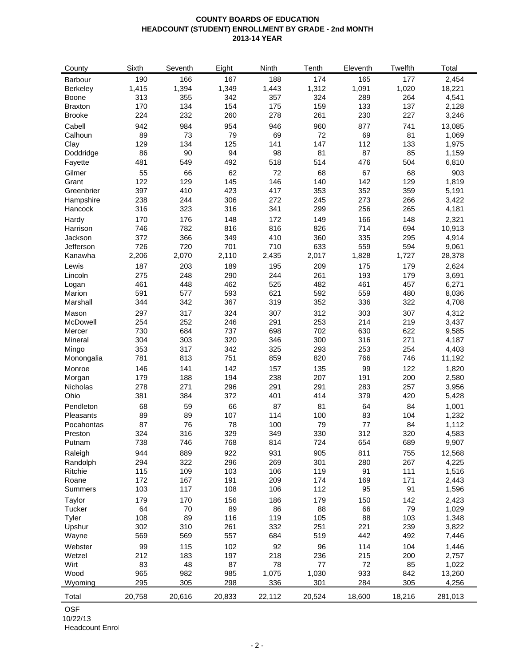### **COUNTY BOARDS OF EDUCATION HEADCOUNT (STUDENT) ENROLLMENT BY GRADE - 2nd MONTH 2013-14 YEAR**

| County           | Sixth      | Seventh   | Eight     | Ninth       | Tenth        | Eleventh  | Twelfth   | Total           |
|------------------|------------|-----------|-----------|-------------|--------------|-----------|-----------|-----------------|
| Barbour          | 190        | 166       | 167       | 188         | 174          | 165       | 177       | 2,454           |
| <b>Berkeley</b>  | 1,415      | 1,394     | 1,349     | 1,443       | 1,312        | 1,091     | 1,020     | 18,221          |
| <b>Boone</b>     | 313        | 355       | 342       | 357         | 324          | 289       | 264       | 4,541           |
| <b>Braxton</b>   | 170        | 134       | 154       | 175         | 159          | 133       | 137       | 2,128           |
| <b>Brooke</b>    | 224        | 232       | 260       | 278         | 261          | 230       | 227       | 3,246           |
| Cabell           | 942        | 984       | 954       | 946         | 960          | 877       | 741       | 13,085          |
| Calhoun          | 89         | 73        | 79        | 69          | 72           | 69        | 81        | 1,069           |
| Clay             | 129        | 134       | 125       | 141         | 147          | 112       | 133       | 1,975           |
| Doddridge        | 86         | 90        | 94        | 98          | 81           | 87        | 85        | 1,159           |
| Fayette          | 481        | 549       | 492       | 518         | 514          | 476       | 504       | 6,810           |
|                  |            |           |           |             |              |           |           |                 |
| Gilmer<br>Grant  | 55<br>122  | 66<br>129 | 62<br>145 | 72<br>146   | 68<br>140    | 67<br>142 | 68<br>129 | 903             |
| Greenbrier       | 397        | 410       | 423       | 417         | 353          | 352       | 359       | 1,819<br>5,191  |
|                  | 238        | 244       | 306       | 272         |              | 273       | 266       |                 |
| Hampshire        | 316        | 323       |           | 341         | 245<br>299   | 256       | 265       | 3,422           |
| Hancock          |            |           | 316       |             |              |           |           | 4,181           |
| Hardy            | 170        | 176       | 148       | 172         | 149          | 166       | 148       | 2,321           |
| Harrison         | 746        | 782       | 816       | 816         | 826          | 714       | 694       | 10,913          |
| Jackson          | 372        | 366       | 349       | 410         | 360          | 335       | 295       | 4,914           |
| Jefferson        | 726        | 720       | 701       | 710         | 633          | 559       | 594       | 9,061           |
| Kanawha          | 2,206      | 2,070     | 2,110     | 2,435       | 2,017        | 1,828     | 1,727     | 28,378          |
| Lewis            | 187        | 203       | 189       | 195         | 209          | 175       | 179       | 2,624           |
| Lincoln          | 275        | 248       | 290       | 244         | 261          | 193       | 179       | 3,691           |
| Logan            | 461        | 448       | 462       | 525         | 482          | 461       | 457       | 6,271           |
| Marion           | 591        | 577       | 593       | 621         | 592          | 559       | 480       | 8,036           |
| Marshall         | 344        | 342       | 367       | 319         | 352          | 336       | 322       | 4,708           |
| Mason            | 297        | 317       | 324       | 307         | 312          | 303       | 307       | 4,312           |
| McDowell         | 254        | 252       | 246       | 291         | 253          | 214       | 219       | 3,437           |
| Mercer           | 730        | 684       | 737       | 698         | 702          | 630       | 622       | 9,585           |
| Mineral          | 304        | 303       | 320       | 346         | 300          | 316       | 271       | 4,187           |
| Mingo            | 353        | 317       | 342       | 325         | 293          | 253       | 254       | 4,403           |
| Monongalia       | 781        | 813       | 751       | 859         | 820          | 766       | 746       | 11,192          |
| Monroe           | 146        | 141       | 142       | 157         | 135          | 99        | 122       | 1,820           |
| Morgan           | 179        | 188       | 194       | 238         | 207          | 191       | 200       | 2,580           |
| Nicholas         | 278        | 271       | 296       | 291         | 291          | 283       | 257       | 3,956           |
| Ohio             | 381        | 384       | 372       | 401         | 414          | 379       | 420       | 5,428           |
| Pendleton        | 68         | 59        | 66        | 87          | 81           | 64        | 84        | 1,001           |
| Pleasants        | 89         | 89        | 107       | 114         | 100          | 83        | 104       | 1,232           |
| Pocahontas       | 87         | 76        | 78        | 100         | 79           | 77        | 84        | 1,112           |
| Preston          | 324        | 316       | 329       | 349         | 330          | 312       | 320       | 4,583           |
| Putnam           | 738        | 746       | 768       | 814         | 724          | 654       | 689       | 9,907           |
| Raleigh          | 944        | 889       | 922       | 931         | 905          | 811       | 755       | 12,568          |
| Randolph         | 294        | 322       | 296       | 269         | 301          | 280       | 267       | 4,225           |
| Ritchie          | 115        | 109       | 103       | 106         | 119          | 91        | 111       | 1,516           |
| Roane            | 172        | 167       | 191       | 209         | 174          | 169       | 171       | 2,443           |
| Summers          | 103        | 117       | 108       | 106         | 112          | 95        | 91        | 1,596           |
|                  | 179        |           |           | 186         | 179          |           | 142       | 2,423           |
| Taylor<br>Tucker | 64         | 170<br>70 | 156<br>89 | 86          | 88           | 150<br>66 | 79        | 1,029           |
|                  |            | 89        | 116       | 119         | 105          | 88        | 103       |                 |
| Tyler<br>Upshur  | 108<br>302 | 310       | 261       | 332         | 251          | 221       | 239       | 1,348<br>3,822  |
| Wayne            | 569        | 569       | 557       | 684         | 519          | 442       | 492       | 7,446           |
|                  |            |           |           |             |              |           |           |                 |
| Webster          | 99         | 115       | 102       | 92          | 96           | 114       | 104       | 1,446           |
| Wetzel           | 212        | 183       | 197       | 218         | 236          | 215       | 200       | 2,757           |
| Wirt<br>Wood     | 83<br>965  | 48<br>982 | 87<br>985 | 78<br>1,075 | 77           | 72<br>933 | 85<br>842 | 1,022           |
| Wyoming          | 295        | 305       | 298       | 336         | 1,030<br>301 | 284       | 305       | 13,260<br>4,256 |
|                  |            |           |           |             |              |           |           |                 |
| Total            | 20,758     | 20,616    | 20,833    | 22,112      | 20,524       | 18,600    | 18,216    | 281,013         |

OSF

10/22/13

Headcount Enrol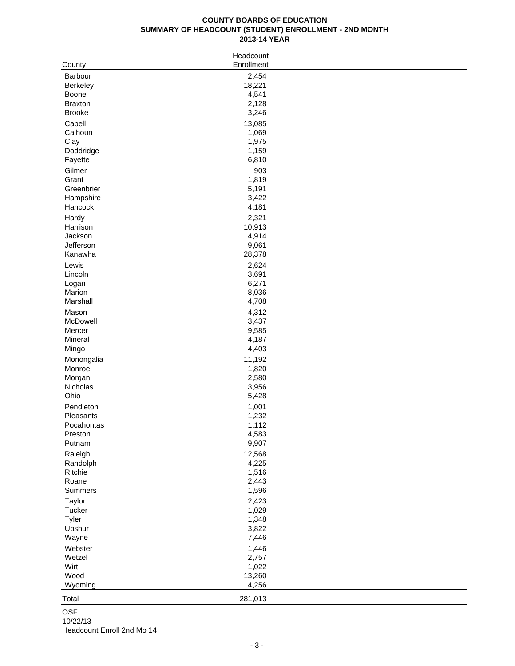# **COUNTY BOARDS OF EDUCATION SUMMARY OF HEADCOUNT (STUDENT) ENROLLMENT - 2ND MONTH 2013-14 YEAR**

| County               | Headcount<br>Enrollment |  |
|----------------------|-------------------------|--|
| Barbour              | 2,454                   |  |
| Berkeley             | 18,221                  |  |
| <b>Boone</b>         | 4,541                   |  |
| <b>Braxton</b>       | 2,128                   |  |
| <b>Brooke</b>        | 3,246                   |  |
| Cabell               | 13,085                  |  |
| Calhoun              | 1,069                   |  |
| Clay                 | 1,975                   |  |
| Doddridge            | 1,159                   |  |
| Fayette              | 6,810                   |  |
| Gilmer               | 903                     |  |
| Grant                | 1,819                   |  |
| Greenbrier           | 5,191                   |  |
| Hampshire<br>Hancock | 3,422<br>4,181          |  |
|                      |                         |  |
| Hardy<br>Harrison    | 2,321<br>10,913         |  |
| Jackson              | 4,914                   |  |
| Jefferson            | 9,061                   |  |
| Kanawha              | 28,378                  |  |
| Lewis                | 2,624                   |  |
| Lincoln              | 3,691                   |  |
| Logan                | 6,271                   |  |
| Marion               | 8,036                   |  |
| Marshall             | 4,708                   |  |
| Mason                | 4,312                   |  |
| McDowell             | 3,437                   |  |
| Mercer               | 9,585                   |  |
| Mineral              | 4,187                   |  |
| Mingo                | 4,403                   |  |
| Monongalia           | 11,192                  |  |
| Monroe               | 1,820                   |  |
| Morgan               | 2,580                   |  |
| Nicholas             | 3,956                   |  |
| Ohio                 | 5,428                   |  |
| Pendleton            | 1,001                   |  |
| Pleasants            | 1,232                   |  |
| Pocahontas           | 1,112                   |  |
| Preston              | 4,583                   |  |
| Putnam               | 9,907                   |  |
| Raleigh              | 12,568                  |  |
| Randolph<br>Ritchie  | 4,225<br>1,516          |  |
| Roane                | 2,443                   |  |
| Summers              | 1,596                   |  |
| Taylor               | 2,423                   |  |
| Tucker               | 1,029                   |  |
| Tyler                | 1,348                   |  |
| Upshur               | 3,822                   |  |
| Wayne                | 7,446                   |  |
| Webster              | 1,446                   |  |
| Wetzel               | 2,757                   |  |
| Wirt                 | 1,022                   |  |
| Wood                 | 13,260                  |  |
| Wyoming              | 4,256                   |  |
| Total                | 281,013                 |  |
|                      |                         |  |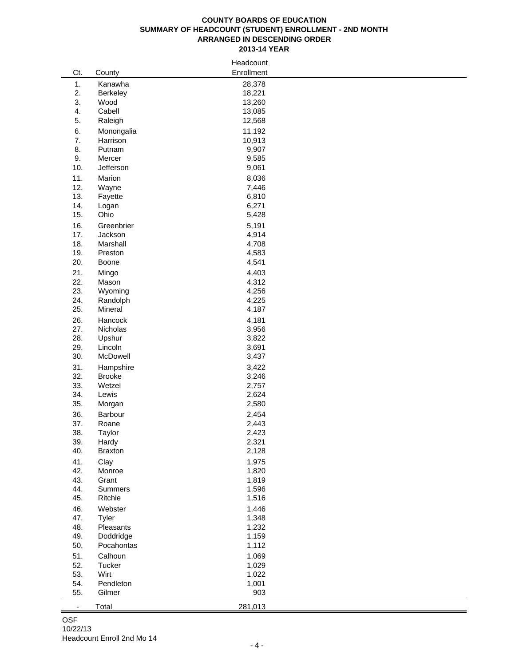#### **COUNTY BOARDS OF EDUCATION SUMMARY OF HEADCOUNT (STUDENT) ENROLLMENT - 2ND MONTH ARRANGED IN DESCENDING ORDER 2013-14 YEAR**

|                          |               | Headcount      |  |
|--------------------------|---------------|----------------|--|
| Ct.                      | County        | Enrollment     |  |
| 1.                       | Kanawha       | 28,378         |  |
| 2.                       | Berkeley      | 18,221         |  |
| 3.                       | Wood          | 13,260         |  |
| 4.                       | Cabell        | 13,085         |  |
| 5.                       | Raleigh       | 12,568         |  |
|                          |               |                |  |
| 6.                       | Monongalia    | 11,192         |  |
| 7.                       | Harrison      | 10,913         |  |
| 8.                       | Putnam        | 9,907          |  |
| 9.                       | Mercer        | 9,585          |  |
| 10.                      | Jefferson     | 9,061          |  |
| 11.                      | Marion        | 8,036          |  |
| 12.                      | Wayne         | 7,446          |  |
| 13.                      | Fayette       | 6,810          |  |
| 14.                      | Logan         | 6,271          |  |
| 15.                      | Ohio          | 5,428          |  |
| 16.                      | Greenbrier    | 5,191          |  |
| 17.                      | Jackson       | 4,914          |  |
| 18.                      | Marshall      | 4,708          |  |
| 19.                      | Preston       | 4,583          |  |
| 20.                      | Boone         | 4,541          |  |
| 21.                      | Mingo         | 4,403          |  |
| 22.                      | Mason         | 4,312          |  |
| 23.                      | Wyoming       | 4,256          |  |
| 24.                      | Randolph      | 4,225          |  |
| 25.                      | Mineral       | 4,187          |  |
| 26.                      | Hancock       | 4,181          |  |
| 27.                      | Nicholas      | 3,956          |  |
| 28.                      | Upshur        | 3,822          |  |
| 29.                      | Lincoln       |                |  |
| 30.                      | McDowell      | 3,691          |  |
|                          |               | 3,437          |  |
| 31.                      | Hampshire     | 3,422          |  |
| 32.                      | <b>Brooke</b> | 3,246          |  |
| 33.                      | Wetzel        | 2,757          |  |
| 34.                      | Lewis         | 2,624          |  |
| 35.                      | Morgan        | 2,580          |  |
| 36.                      | Barbour       | 2,454          |  |
| 37.                      | Roane         | 2,443          |  |
| 38.                      | Taylor        | 2,423          |  |
| 39.                      | Hardy         | 2,321          |  |
| 40.                      | Braxton       | 2,128          |  |
| 41.                      | Clay          | 1,975          |  |
| 42.                      | Monroe        | 1,820          |  |
| 43.                      | Grant         | 1,819          |  |
| 44.                      | Summers       | 1,596          |  |
| 45.                      | Ritchie       | 1,516          |  |
| 46.                      | Webster       | 1,446          |  |
| 47.                      | Tyler         | 1,348          |  |
| 48.                      | Pleasants     | 1,232          |  |
| 49.                      | Doddridge     | 1,159          |  |
| 50.                      | Pocahontas    | 1,112          |  |
| 51.                      | Calhoun       | 1,069          |  |
| 52.                      | Tucker        |                |  |
| 53.                      | Wirt          | 1,029<br>1,022 |  |
| 54.                      | Pendleton     |                |  |
| 55.                      | Gilmer        | 1,001<br>903   |  |
|                          |               |                |  |
| $\overline{\phantom{a}}$ | Total         | 281,013        |  |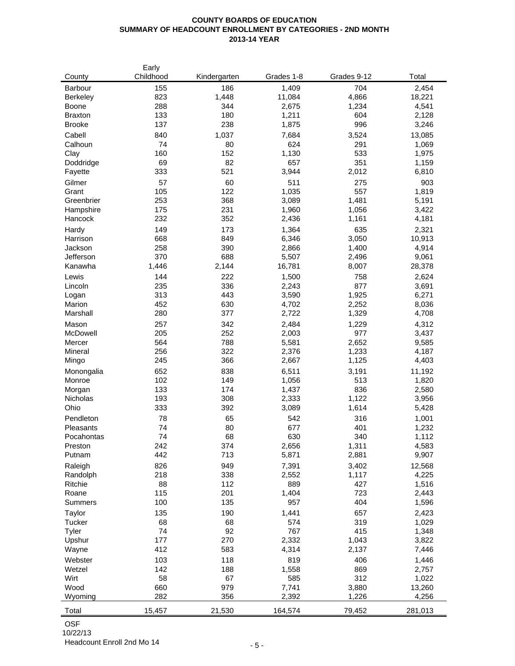# **COUNTY BOARDS OF EDUCATION SUMMARY OF HEADCOUNT ENROLLMENT BY CATEGORIES - 2ND MONTH 2013-14 YEAR**

| County             | Early<br>Childhood | Kindergarten | Grades 1-8     | Grades 9-12 | Total          |
|--------------------|--------------------|--------------|----------------|-------------|----------------|
| Barbour            | 155                | 186          | 1,409          | 704         | 2,454          |
| <b>Berkeley</b>    | 823                | 1,448        | 11,084         | 4,866       | 18,221         |
| <b>Boone</b>       | 288                | 344          | 2,675          | 1,234       | 4,541          |
| <b>Braxton</b>     | 133                | 180          | 1,211          | 604         | 2,128          |
| <b>Brooke</b>      | 137                | 238          | 1,875          | 996         | 3,246          |
| Cabell             | 840                | 1,037        | 7,684          | 3,524       | 13,085         |
| Calhoun            | 74                 | 80           | 624            | 291         | 1,069          |
| Clay               | 160                | 152          | 1,130          | 533         | 1,975          |
| Doddridge          | 69                 | 82           | 657            | 351         | 1,159          |
| Fayette            | 333                | 521          | 3,944          | 2,012       | 6,810          |
| Gilmer             | 57                 | 60           | 511            | 275         | 903            |
| Grant              | 105                | 122          | 1,035          | 557         | 1,819          |
| Greenbrier         | 253                | 368          | 3,089          | 1,481       | 5,191          |
| Hampshire          | 175                | 231          | 1,960          | 1,056       | 3,422          |
| Hancock            | 232                | 352          | 2,436          | 1,161       | 4,181          |
| Hardy              | 149                | 173          | 1,364          | 635         | 2,321          |
| Harrison           | 668                | 849          | 6,346          | 3,050       | 10,913         |
| Jackson            | 258                | 390          | 2,866          | 1,400       | 4,914          |
| Jefferson          | 370                | 688          | 5,507          | 2,496       | 9,061          |
| Kanawha            | 1,446              | 2,144        | 16,781         | 8,007       | 28,378         |
| Lewis              | 144                | 222          | 1,500          | 758         | 2,624          |
| Lincoln            | 235                | 336          | 2,243          | 877         | 3,691          |
| Logan              | 313                | 443          | 3,590          | 1,925       | 6,271          |
| Marion             | 452                | 630          | 4,702          | 2,252       | 8,036          |
| Marshall           | 280                | 377          | 2,722          | 1,329       | 4,708          |
| Mason              | 257                | 342          | 2,484          | 1,229       | 4,312          |
| McDowell           | 205                | 252          | 2,003          | 977         | 3,437          |
| Mercer             | 564                | 788          | 5,581          | 2,652       | 9,585          |
| Mineral            | 256                | 322          | 2,376          | 1,233       | 4,187          |
| Mingo              | 245                | 366          | 2,667          | 1,125       | 4,403          |
| Monongalia         | 652                | 838          | 6,511          | 3,191       | 11,192         |
| Monroe             | 102<br>133         | 149<br>174   | 1,056          | 513<br>836  | 1,820          |
| Morgan<br>Nicholas | 193                | 308          | 1,437<br>2,333 | 1,122       | 2,580<br>3,956 |
| Ohio               | 333                | 392          | 3,089          | 1,614       | 5,428          |
| Pendleton          | 78                 | 65           | 542            | 316         | 1,001          |
| Pleasants          | 74                 | 80           | 677            | 401         | 1,232          |
| Pocahontas         | 74                 | 68           | 630            | 340         | 1,112          |
| Preston            | 242                | 374          | 2,656          | 1,311       | 4,583          |
| Putnam             | 442                | 713          | 5,871          | 2,881       | 9,907          |
| Raleigh            | 826                | 949          | 7,391          | 3,402       | 12,568         |
| Randolph           | 218                | 338          | 2,552          | 1,117       | 4,225          |
| Ritchie            | 88                 | 112          | 889            | 427         | 1,516          |
| Roane              | 115                | 201          | 1,404          | 723         | 2,443          |
| <b>Summers</b>     | 100                | 135          | 957            | 404         | 1,596          |
| Taylor             | 135                | 190          | 1,441          | 657         | 2,423          |
| Tucker             | 68                 | 68           | 574            | 319         | 1,029          |
| Tyler              | 74                 | 92           | 767            | 415         | 1,348          |
| Upshur             | 177                | 270          | 2,332          | 1,043       | 3,822          |
| Wayne              | 412                | 583          | 4,314          | 2,137       | 7,446          |
| Webster            | 103                | 118          | 819            | 406         | 1,446          |
| Wetzel             | 142                | 188          | 1,558          | 869         | 2,757          |
| Wirt               | 58                 | 67           | 585            | 312         | 1,022          |
| Wood               | 660                | 979          | 7,741          | 3,880       | 13,260         |
| Wyoming            | 282                | 356          | 2,392          | 1,226       | 4,256          |
| Total              | 15,457             | 21,530       | 164,574        | 79,452      | 281,013        |

OSF

10/22/13 Headcount Enroll 2nd Mo 14 - 5 -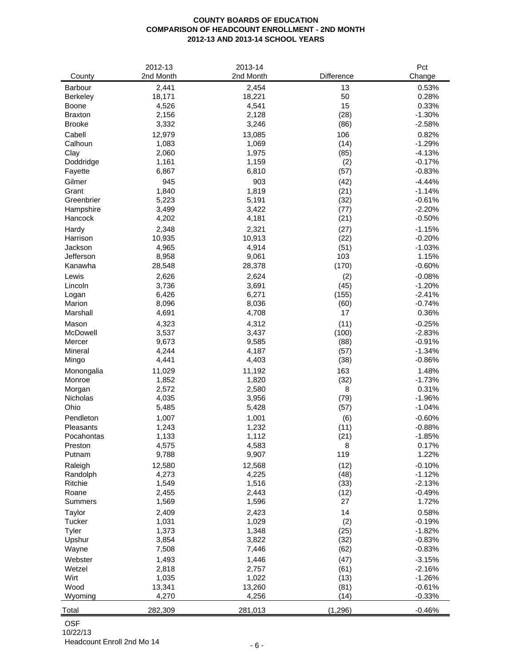# **COUNTY BOARDS OF EDUCATION COMPARISON OF HEADCOUNT ENROLLMENT - 2ND MONTH 2012-13 AND 2013-14 SCHOOL YEARS**

|                | 2012-13   | 2013-14   |            | Pct      |
|----------------|-----------|-----------|------------|----------|
| County         | 2nd Month | 2nd Month | Difference | Change   |
| Barbour        | 2,441     | 2,454     | 13         | 0.53%    |
| Berkeley       | 18,171    | 18,221    | 50         | 0.28%    |
| Boone          | 4,526     | 4,541     | 15         | 0.33%    |
| <b>Braxton</b> | 2,156     | 2,128     | (28)       | $-1.30%$ |
| <b>Brooke</b>  | 3,332     | 3,246     | (86)       | $-2.58%$ |
| Cabell         | 12,979    | 13,085    | 106        | 0.82%    |
| Calhoun        | 1,083     | 1,069     | (14)       | $-1.29%$ |
| Clay           | 2,060     | 1,975     | (85)       | $-4.13%$ |
| Doddridge      | 1,161     | 1,159     | (2)        | $-0.17%$ |
| Fayette        | 6,867     | 6,810     | (57)       | $-0.83%$ |
| Gilmer         | 945       | 903       | (42)       | $-4.44%$ |
| Grant          | 1,840     | 1,819     | (21)       | $-1.14%$ |
| Greenbrier     | 5,223     | 5,191     | (32)       | $-0.61%$ |
| Hampshire      | 3,499     | 3,422     | (77)       | $-2.20%$ |
| Hancock        | 4,202     | 4,181     |            | $-0.50%$ |
|                |           |           | (21)       |          |
| Hardy          | 2,348     | 2,321     | (27)       | $-1.15%$ |
| Harrison       | 10,935    | 10,913    | (22)       | $-0.20%$ |
| Jackson        | 4,965     | 4,914     | (51)       | $-1.03%$ |
| Jefferson      | 8,958     | 9,061     | 103        | 1.15%    |
| Kanawha        | 28,548    | 28,378    | (170)      | $-0.60%$ |
| Lewis          | 2,626     | 2,624     | (2)        | $-0.08%$ |
| Lincoln        | 3,736     | 3,691     | (45)       | $-1.20%$ |
| Logan          | 6,426     | 6,271     | (155)      | $-2.41%$ |
| Marion         | 8,096     | 8,036     | (60)       | $-0.74%$ |
| Marshall       | 4,691     | 4,708     | 17         | 0.36%    |
| Mason          | 4,323     | 4,312     | (11)       | $-0.25%$ |
| McDowell       | 3,537     | 3,437     | (100)      | $-2.83%$ |
| Mercer         | 9,673     | 9,585     | (88)       | $-0.91%$ |
| Mineral        | 4,244     | 4,187     | (57)       | $-1.34%$ |
| Mingo          | 4,441     | 4,403     | (38)       | $-0.86%$ |
| Monongalia     | 11,029    | 11,192    | 163        | 1.48%    |
| Monroe         | 1,852     | 1,820     | (32)       | $-1.73%$ |
| Morgan         | 2,572     | 2,580     | 8          | 0.31%    |
| Nicholas       | 4,035     | 3,956     | (79)       | $-1.96%$ |
| Ohio           | 5,485     | 5,428     | (57)       | $-1.04%$ |
| Pendleton      | 1,007     | 1,001     | (6)        | $-0.60%$ |
| Pleasants      | 1,243     | 1,232     | (11)       | $-0.88%$ |
| Pocahontas     | 1,133     | 1,112     | (21)       | $-1.85%$ |
| Preston        | 4,575     | 4,583     | 8          | 0.17%    |
| Putnam         | 9,788     | 9,907     | 119        | 1.22%    |
| Raleigh        | 12,580    | 12,568    | (12)       | $-0.10%$ |
| Randolph       | 4,273     | 4,225     | (48)       | $-1.12%$ |
| Ritchie        | 1,549     | 1,516     | (33)       | $-2.13%$ |
| Roane          | 2,455     | 2,443     | (12)       | $-0.49%$ |
| Summers        | 1,569     | 1,596     | 27         | 1.72%    |
| Taylor         | 2,409     | 2,423     | 14         | 0.58%    |
| Tucker         | 1,031     | 1,029     | (2)        | $-0.19%$ |
| Tyler          | 1,373     | 1,348     | (25)       | $-1.82%$ |
| Upshur         | 3,854     | 3,822     | (32)       | $-0.83%$ |
| Wayne          | 7,508     | 7,446     | (62)       | $-0.83%$ |
| Webster        | 1,493     | 1,446     | (47)       | $-3.15%$ |
| Wetzel         | 2,818     | 2,757     | (61)       | $-2.16%$ |
| Wirt           | 1,035     | 1,022     | (13)       | $-1.26%$ |
| Wood           | 13,341    | 13,260    | (81)       | $-0.61%$ |
| Wyoming        | 4,270     | 4,256     | (14)       | $-0.33%$ |
|                |           |           |            |          |
| Total          | 282,309   | 281,013   | (1, 296)   | $-0.46%$ |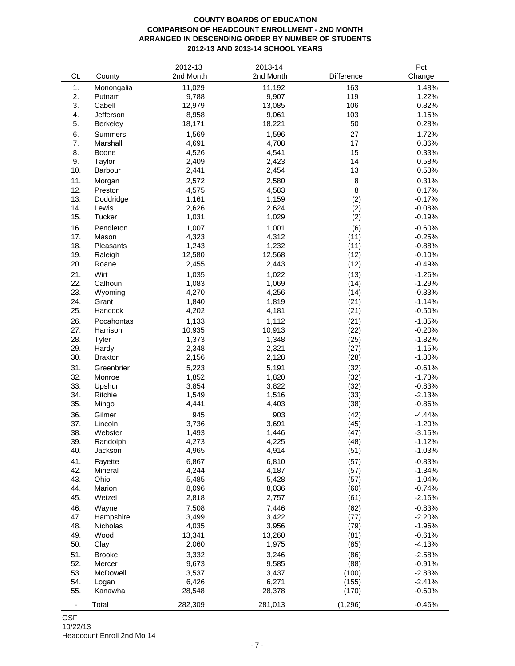# **COUNTY BOARDS OF EDUCATION COMPARISON OF HEADCOUNT ENROLLMENT - 2ND MONTH ARRANGED IN DESCENDING ORDER BY NUMBER OF STUDENTS 2012-13 AND 2013-14 SCHOOL YEARS**

|     |                | 2012-13        | 2013-14   |            | Pct      |
|-----|----------------|----------------|-----------|------------|----------|
| Ct. | County         | 2nd Month      | 2nd Month | Difference | Change   |
| 1.  | Monongalia     | 11,029         | 11,192    | 163        | 1.48%    |
| 2.  | Putnam         | 9,788          | 9,907     | 119        | 1.22%    |
| 3.  | Cabell         | 12,979         | 13,085    | 106        | 0.82%    |
|     |                |                |           |            |          |
| 4.  | Jefferson      | 8,958          | 9,061     | 103        | 1.15%    |
| 5.  | Berkeley       | 18,171         | 18,221    | 50         | 0.28%    |
| 6.  | Summers        | 1,569          | 1,596     | 27         | 1.72%    |
| 7.  | Marshall       | 4,691          | 4,708     | 17         | 0.36%    |
| 8.  | Boone          | 4,526          | 4,541     | 15         | 0.33%    |
| 9.  | Taylor         | 2,409          | 2,423     | 14         | 0.58%    |
| 10. | Barbour        | 2,441          | 2,454     | 13         | 0.53%    |
| 11. | Morgan         | 2,572          | 2,580     | 8          | 0.31%    |
| 12. | Preston        | 4,575          | 4,583     | 8          | 0.17%    |
| 13. | Doddridge      | 1,161          | 1,159     | (2)        | $-0.17%$ |
| 14. | Lewis          | 2,626          | 2,624     | (2)        | $-0.08%$ |
| 15. | Tucker         |                |           |            |          |
|     |                | 1,031          | 1,029     | (2)        | $-0.19%$ |
| 16. | Pendleton      | 1,007          | 1,001     | (6)        | $-0.60%$ |
| 17. | Mason          | 4,323          | 4,312     | (11)       | $-0.25%$ |
| 18. | Pleasants      | 1,243          | 1,232     | (11)       | $-0.88%$ |
| 19. | Raleigh        | 12,580         | 12,568    | (12)       | $-0.10%$ |
| 20. | Roane          | 2,455          | 2,443     | (12)       | $-0.49%$ |
| 21. | Wirt           | 1,035          | 1,022     | (13)       | $-1.26%$ |
| 22. | Calhoun        | 1,083          | 1,069     | (14)       | $-1.29%$ |
| 23. | Wyoming        | 4,270          | 4,256     | (14)       | $-0.33%$ |
| 24. | Grant          | 1,840          | 1,819     | (21)       | $-1.14%$ |
| 25. | Hancock        | 4,202          | 4,181     | (21)       | $-0.50%$ |
|     |                |                |           |            |          |
| 26. | Pocahontas     | 1,133          | 1,112     | (21)       | $-1.85%$ |
| 27. | Harrison       | 10,935         | 10,913    | (22)       | $-0.20%$ |
| 28. | Tyler          | 1,373          | 1,348     | (25)       | $-1.82%$ |
| 29. | Hardy          | 2,348          | 2,321     | (27)       | $-1.15%$ |
| 30. | <b>Braxton</b> | 2,156          | 2,128     | (28)       | $-1.30%$ |
| 31. | Greenbrier     | 5,223          | 5,191     | (32)       | $-0.61%$ |
| 32. | Monroe         | 1,852          | 1,820     | (32)       | $-1.73%$ |
| 33. | Upshur         | 3,854          | 3,822     | (32)       | $-0.83%$ |
| 34. | Ritchie        | 1,549          | 1,516     | (33)       | $-2.13%$ |
| 35. | Mingo          | 4,441          | 4,403     | (38)       | $-0.86%$ |
|     |                |                |           |            |          |
| 36. | Gilmer         | 945            | 903       | (42)       | $-4.44%$ |
| 37. | Lincoln        | 3,736          | 3,691     | (45)       | $-1.20%$ |
| 38. | Webster        | 1,493          | 1,446     | (47)       | $-3.15%$ |
| 39. | Randolph       | 4,273          | 4,225     | (48)       | $-1.12%$ |
| 40. | Jackson        | 4,965          | 4,914     | (51)       | $-1.03%$ |
| 41. | Fayette        | 6,867          | 6,810     | (57)       | $-0.83%$ |
| 42. | Mineral        | 4,244          | 4,187     | (57)       | $-1.34%$ |
| 43. | Ohio           | 5,485          | 5,428     | (57)       | $-1.04%$ |
| 44. | Marion         | 8,096          | 8,036     | (60)       | $-0.74%$ |
| 45. | Wetzel         | 2,818          | 2,757     | (61)       | $-2.16%$ |
| 46. | Wayne          |                | 7,446     | (62)       | $-0.83%$ |
| 47. |                | 7,508<br>3,499 |           |            | $-2.20%$ |
|     | Hampshire      |                | 3,422     | (77)       |          |
| 48. | Nicholas       | 4,035          | 3,956     | (79)       | $-1.96%$ |
| 49. | Wood           | 13,341         | 13,260    | (81)       | $-0.61%$ |
| 50. | Clay           | 2,060          | 1,975     | (85)       | $-4.13%$ |
| 51. | <b>Brooke</b>  | 3,332          | 3,246     | (86)       | $-2.58%$ |
| 52. | Mercer         | 9,673          | 9,585     | (88)       | $-0.91%$ |
| 53. | McDowell       | 3,537          | 3,437     | (100)      | $-2.83%$ |
| 54. | Logan          | 6,426          | 6,271     | (155)      | $-2.41%$ |
| 55. | Kanawha        | 28,548         | 28,378    | (170)      | $-0.60%$ |
|     |                |                |           |            |          |
| ۰   | Total          | 282,309        | 281,013   | (1, 296)   | $-0.46%$ |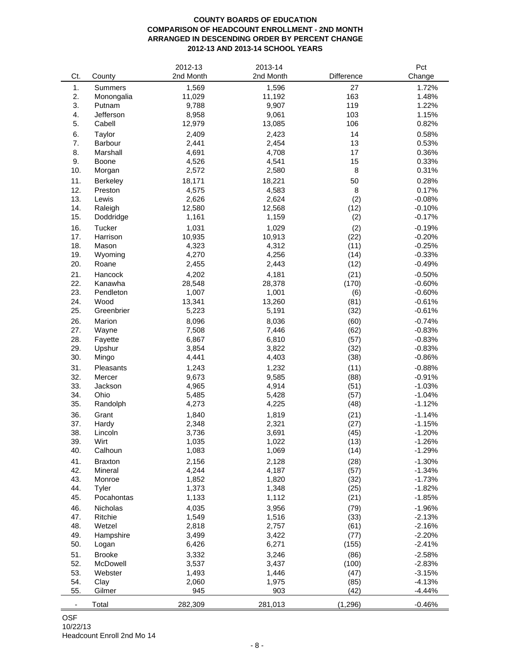# **COUNTY BOARDS OF EDUCATION COMPARISON OF HEADCOUNT ENROLLMENT - 2ND MONTH ARRANGED IN DESCENDING ORDER BY PERCENT CHANGE 2012-13 AND 2013-14 SCHOOL YEARS**

|     |                 | 2012-13   | 2013-14   |            | Pct      |
|-----|-----------------|-----------|-----------|------------|----------|
| Ct. | County          | 2nd Month | 2nd Month | Difference | Change   |
| 1.  | <b>Summers</b>  | 1,569     | 1,596     | 27         | 1.72%    |
| 2.  | Monongalia      | 11,029    | 11,192    | 163        | 1.48%    |
| 3.  | Putnam          | 9,788     | 9,907     | 119        | 1.22%    |
|     |                 |           |           |            |          |
| 4.  | Jefferson       | 8,958     | 9,061     | 103        | 1.15%    |
| 5.  | Cabell          | 12,979    | 13,085    | 106        | 0.82%    |
| 6.  | Taylor          | 2,409     | 2,423     | 14         | 0.58%    |
| 7.  | Barbour         | 2,441     | 2,454     | 13         | 0.53%    |
| 8.  | Marshall        | 4,691     | 4,708     | 17         | 0.36%    |
| 9.  | Boone           | 4,526     | 4,541     | 15         | 0.33%    |
| 10. | Morgan          | 2,572     | 2,580     | 8          | 0.31%    |
| 11. | <b>Berkeley</b> | 18,171    | 18,221    | 50         | 0.28%    |
| 12. | Preston         | 4,575     | 4,583     | 8          | 0.17%    |
| 13. | Lewis           | 2,626     | 2,624     | (2)        | $-0.08%$ |
| 14. | Raleigh         | 12,580    | 12,568    | (12)       | $-0.10%$ |
| 15. | Doddridge       | 1,161     | 1,159     | (2)        | $-0.17%$ |
|     |                 |           |           |            |          |
| 16. | Tucker          | 1,031     | 1,029     | (2)        | $-0.19%$ |
| 17. | Harrison        | 10,935    | 10,913    | (22)       | $-0.20%$ |
| 18. | Mason           | 4,323     | 4,312     | (11)       | $-0.25%$ |
| 19. | Wyoming         | 4,270     | 4,256     | (14)       | $-0.33%$ |
| 20. | Roane           | 2,455     | 2,443     | (12)       | $-0.49%$ |
| 21. | Hancock         | 4,202     | 4,181     | (21)       | $-0.50%$ |
| 22. | Kanawha         | 28,548    | 28,378    | (170)      | $-0.60%$ |
| 23. | Pendleton       | 1,007     | 1,001     | (6)        | $-0.60%$ |
| 24. | Wood            | 13,341    | 13,260    | (81)       | $-0.61%$ |
| 25. | Greenbrier      | 5,223     | 5,191     | (32)       | $-0.61%$ |
| 26. | Marion          | 8,096     | 8,036     | (60)       | $-0.74%$ |
|     |                 | 7,508     |           |            |          |
| 27. | Wayne           |           | 7,446     | (62)       | $-0.83%$ |
| 28. | Fayette         | 6,867     | 6,810     | (57)       | $-0.83%$ |
| 29. | Upshur          | 3,854     | 3,822     | (32)       | $-0.83%$ |
| 30. | Mingo           | 4,441     | 4,403     | (38)       | $-0.86%$ |
| 31. | Pleasants       | 1,243     | 1,232     | (11)       | $-0.88%$ |
| 32. | Mercer          | 9,673     | 9,585     | (88)       | $-0.91%$ |
| 33. | Jackson         | 4,965     | 4,914     | (51)       | $-1.03%$ |
| 34. | Ohio            | 5,485     | 5,428     | (57)       | $-1.04%$ |
| 35. | Randolph        | 4,273     | 4,225     | (48)       | $-1.12%$ |
| 36. | Grant           | 1,840     | 1,819     | (21)       | $-1.14%$ |
| 37. | Hardy           | 2,348     | 2,321     | (27)       | $-1.15%$ |
| 38. | Lincoln         | 3,736     | 3,691     | (45)       | $-1.20%$ |
| 39. | Wirt            | 1,035     | 1,022     | (13)       | $-1.26%$ |
| 40. | Calhoun         | 1,083     | 1,069     | (14)       | $-1.29%$ |
|     |                 |           |           |            |          |
| 41. | <b>Braxton</b>  | 2,156     | 2,128     | (28)       | $-1.30%$ |
| 42. | Mineral         | 4,244     | 4,187     | (57)       | $-1.34%$ |
| 43. | Monroe          | 1,852     | 1,820     | (32)       | $-1.73%$ |
| 44. | Tyler           | 1,373     | 1,348     | (25)       | $-1.82%$ |
| 45. | Pocahontas      | 1,133     | 1,112     | (21)       | $-1.85%$ |
| 46. | <b>Nicholas</b> | 4,035     | 3,956     | (79)       | $-1.96%$ |
| 47. | Ritchie         | 1,549     | 1,516     | (33)       | $-2.13%$ |
| 48. | Wetzel          | 2,818     | 2,757     | (61)       | $-2.16%$ |
| 49. | Hampshire       | 3,499     | 3,422     | (77)       | $-2.20%$ |
| 50. | Logan           | 6,426     | 6,271     | (155)      | $-2.41%$ |
| 51. | <b>Brooke</b>   | 3,332     | 3,246     | (86)       | $-2.58%$ |
| 52. | McDowell        | 3,537     | 3,437     | (100)      | $-2.83%$ |
| 53. | Webster         | 1,493     | 1,446     | (47)       | $-3.15%$ |
| 54. | Clay            | 2,060     | 1,975     | (85)       | $-4.13%$ |
| 55. | Gilmer          | 945       | 903       | (42)       | $-4.44%$ |
|     |                 |           |           |            |          |
|     | Total           | 282,309   | 281,013   | (1, 296)   | $-0.46%$ |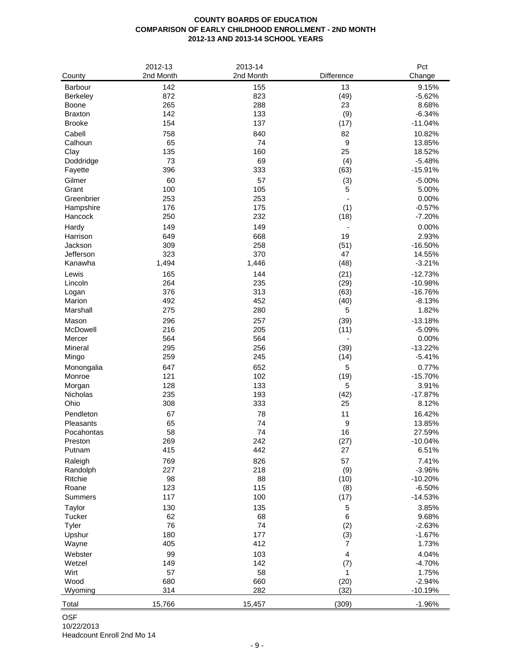### **COUNTY BOARDS OF EDUCATION COMPARISON OF EARLY CHILDHOOD ENROLLMENT - 2ND MONTH 2012-13 AND 2013-14 SCHOOL YEARS**

|                 | 2012-13   | 2013-14   |                | Pct       |
|-----------------|-----------|-----------|----------------|-----------|
| County          | 2nd Month | 2nd Month | Difference     | Change    |
| Barbour         | 142       | 155       | 13             | 9.15%     |
| <b>Berkeley</b> | 872       | 823       | (49)           | $-5.62%$  |
| Boone           | 265       | 288       | 23             | 8.68%     |
| <b>Braxton</b>  | 142       | 133       | (9)            | $-6.34%$  |
| <b>Brooke</b>   | 154       | 137       | (17)           | $-11.04%$ |
| Cabell          | 758       | 840       | 82             | 10.82%    |
| Calhoun         | 65        | 74        | 9              | 13.85%    |
| Clay            | 135       | 160       | 25             | 18.52%    |
| Doddridge       | 73        | 69        | (4)            | $-5.48%$  |
| Fayette         | 396       | 333       | (63)           | $-15.91%$ |
| Gilmer          | 60        | 57        | (3)            | $-5.00%$  |
| Grant           | 100       | 105       | 5              | 5.00%     |
| Greenbrier      | 253       | 253       |                | 0.00%     |
| Hampshire       | 176       | 175       | (1)            | $-0.57%$  |
| Hancock         | 250       | 232       | (18)           | $-7.20%$  |
| Hardy           | 149       | 149       |                | 0.00%     |
| Harrison        | 649       | 668       | 19             | 2.93%     |
| Jackson         | 309       | 258       | (51)           | $-16.50%$ |
| Jefferson       | 323       | 370       | 47             | 14.55%    |
| Kanawha         | 1,494     | 1,446     | (48)           | $-3.21%$  |
| Lewis           | 165       | 144       | (21)           | $-12.73%$ |
| Lincoln         | 264       | 235       | (29)           | $-10.98%$ |
| Logan           | 376       | 313       | (63)           | $-16.76%$ |
| Marion          | 492       | 452       | (40)           | $-8.13%$  |
| Marshall        | 275       | 280       | 5              | 1.82%     |
| Mason           | 296       | 257       | (39)           | $-13.18%$ |
| McDowell        | 216       | 205       | (11)           | $-5.09%$  |
| Mercer          | 564       | 564       | $\blacksquare$ | 0.00%     |
| Mineral         | 295       | 256       | (39)           | $-13.22%$ |
| Mingo           | 259       | 245       | (14)           | $-5.41%$  |
| Monongalia      | 647       | 652       | 5              | 0.77%     |
| Monroe          | 121       | 102       | (19)           | $-15.70%$ |
| Morgan          | 128       | 133       | 5              | 3.91%     |
| Nicholas        | 235       | 193       | (42)           | $-17.87%$ |
| Ohio            | 308       | 333       | 25             | 8.12%     |
| Pendleton       | 67        | 78        | 11             | 16.42%    |
| Pleasants       | 65        | 74        | 9              | 13.85%    |
| Pocahontas      | 58        | 74        | 16             | 27.59%    |
| Preston         | 269       | 242       | (27)           | $-10.04%$ |
| Putnam          | 415       | 442       | 27             | 6.51%     |
| Raleigh         | 769       | 826       | 57             | 7.41%     |
| Randolph        | 227       | 218       | (9)            | $-3.96%$  |
| Ritchie         | 98        | 88        | (10)           | $-10.20%$ |
| Roane           | 123       | 115       | (8)            | $-6.50%$  |
| Summers         | 117       | 100       | (17)           | $-14.53%$ |
| Taylor          | 130       | 135       | 5              | 3.85%     |
| Tucker          | 62        | 68        | 6              | 9.68%     |
| Tyler           | 76        | 74        | (2)            | $-2.63%$  |
| Upshur          | 180       | 177       | (3)            | $-1.67%$  |
| Wayne           | 405       | 412       | 7              | 1.73%     |
| Webster         | 99        | 103       | 4              | 4.04%     |
| Wetzel          | 149       | 142       | (7)            | $-4.70%$  |
| Wirt            | 57        | 58        | 1              | 1.75%     |
| Wood            | 680       | 660       | (20)           | $-2.94%$  |
| Wyoming         | 314       | 282       | (32)           | $-10.19%$ |
| Total           | 15,766    | 15,457    | (309)          | $-1.96%$  |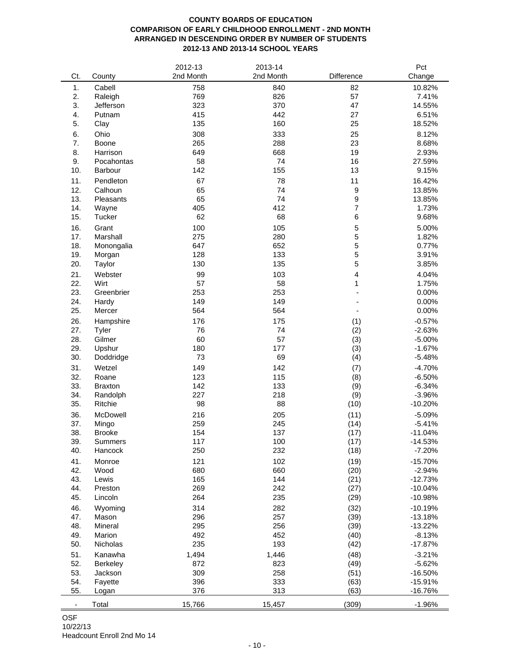# **COUNTY BOARDS OF EDUCATION COMPARISON OF EARLY CHILDHOOD ENROLLMENT - 2ND MONTH ARRANGED IN DESCENDING ORDER BY NUMBER OF STUDENTS 2012-13 AND 2013-14 SCHOOL YEARS**

|     |                | 2012-13   | 2013-14   |                  | Pct       |
|-----|----------------|-----------|-----------|------------------|-----------|
| Ct. | County         | 2nd Month | 2nd Month | Difference       | Change    |
| 1.  | Cabell         | 758       | 840       | 82               | 10.82%    |
| 2.  | Raleigh        | 769       | 826       | 57               | 7.41%     |
| 3.  | Jefferson      | 323       | 370       | 47               | 14.55%    |
|     |                |           | 442       |                  |           |
| 4.  | Putnam         | 415       |           | 27               | 6.51%     |
| 5.  | Clay           | 135       | 160       | 25               | 18.52%    |
| 6.  | Ohio           | 308       | 333       | 25               | 8.12%     |
| 7.  | <b>Boone</b>   | 265       | 288       | 23               | 8.68%     |
| 8.  | Harrison       | 649       | 668       | 19               | 2.93%     |
| 9.  | Pocahontas     | 58        | 74        | 16               | 27.59%    |
| 10. | Barbour        | 142       | 155       | 13               | 9.15%     |
| 11. | Pendleton      | 67        | 78        | 11               | 16.42%    |
| 12. | Calhoun        | 65        | 74        | $\boldsymbol{9}$ | 13.85%    |
| 13. | Pleasants      | 65        | 74        | 9                | 13.85%    |
| 14. | Wayne          | 405       | 412       | $\overline{7}$   | 1.73%     |
| 15. | Tucker         | 62        | 68        | 6                | 9.68%     |
|     |                |           |           |                  |           |
| 16. | Grant          | 100       | 105       | 5                | 5.00%     |
| 17. | Marshall       | 275       | 280       | 5                | 1.82%     |
| 18. | Monongalia     | 647       | 652       | 5                | 0.77%     |
| 19. | Morgan         | 128       | 133       | 5                | 3.91%     |
| 20. | Taylor         | 130       | 135       | 5                | 3.85%     |
| 21. | Webster        | 99        | 103       | 4                | 4.04%     |
| 22. | Wirt           | 57        | 58        | 1                | 1.75%     |
| 23. | Greenbrier     | 253       | 253       |                  | 0.00%     |
| 24. | Hardy          | 149       | 149       |                  | 0.00%     |
| 25. | Mercer         | 564       | 564       |                  | 0.00%     |
| 26. | Hampshire      | 176       | 175       | (1)              | $-0.57%$  |
| 27. | Tyler          | 76        | 74        | (2)              | $-2.63%$  |
| 28. | Gilmer         | 60        | 57        | (3)              | $-5.00%$  |
| 29. | Upshur         | 180       | 177       | (3)              | $-1.67%$  |
| 30. | Doddridge      | 73        | 69        | (4)              | $-5.48%$  |
|     |                |           |           |                  |           |
| 31. | Wetzel         | 149       | 142       | (7)              | $-4.70%$  |
| 32. | Roane          | 123       | 115       | (8)              | $-6.50%$  |
| 33. | <b>Braxton</b> | 142       | 133       | (9)              | $-6.34%$  |
| 34. | Randolph       | 227       | 218       | (9)              | $-3.96%$  |
| 35. | Ritchie        | 98        | 88        | (10)             | $-10.20%$ |
| 36. | McDowell       | 216       | 205       | (11)             | $-5.09%$  |
| 37. | Mingo          | 259       | 245       | (14)             | $-5.41%$  |
| 38. | <b>Brooke</b>  | 154       | 137       | (17)             | $-11.04%$ |
| 39. | Summers        | 117       | 100       | (17)             | $-14.53%$ |
| 40. | Hancock        | 250       | 232       | (18)             | $-7.20%$  |
| 41. | Monroe         | 121       | 102       | (19)             | $-15.70%$ |
| 42. | Wood           | 680       | 660       | (20)             | $-2.94%$  |
| 43. | Lewis          | 165       | 144       | (21)             | $-12.73%$ |
| 44. | Preston        | 269       | 242       | (27)             | $-10.04%$ |
| 45. |                | 264       | 235       |                  |           |
|     | Lincoln        |           |           | (29)             | $-10.98%$ |
| 46. | Wyoming        | 314       | 282       | (32)             | $-10.19%$ |
| 47. | Mason          | 296       | 257       | (39)             | $-13.18%$ |
| 48. | Mineral        | 295       | 256       | (39)             | $-13.22%$ |
| 49. | Marion         | 492       | 452       | (40)             | $-8.13%$  |
| 50. | Nicholas       | 235       | 193       | (42)             | $-17.87%$ |
| 51. | Kanawha        | 1,494     | 1,446     | (48)             | $-3.21%$  |
| 52. | Berkeley       | 872       | 823       | (49)             | $-5.62%$  |
| 53. | Jackson        | 309       | 258       | (51)             | $-16.50%$ |
| 54. | Fayette        | 396       | 333       | (63)             | $-15.91%$ |
| 55. | Logan          | 376       | 313       | (63)             | $-16.76%$ |
|     |                |           |           |                  |           |
|     | Total          | 15,766    | 15,457    | (309)            | $-1.96%$  |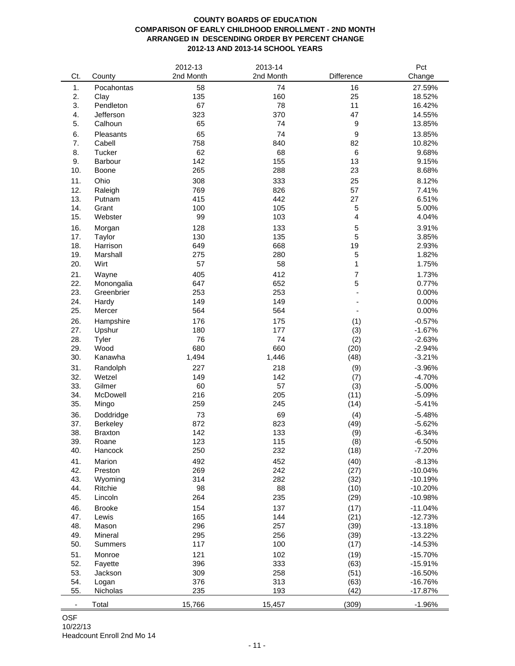# **COUNTY BOARDS OF EDUCATION COMPARISON OF EARLY CHILDHOOD ENROLLMENT - 2ND MONTH ARRANGED IN DESCENDING ORDER BY PERCENT CHANGE 2012-13 AND 2013-14 SCHOOL YEARS**

|                          |                | 2012-13   | 2013-14   |                | Pct       |
|--------------------------|----------------|-----------|-----------|----------------|-----------|
| Ct.                      | County         | 2nd Month | 2nd Month | Difference     | Change    |
| 1.                       | Pocahontas     | 58        | 74        | 16             | 27.59%    |
| 2.                       | Clay           | 135       | 160       | 25             | 18.52%    |
| 3.                       | Pendleton      | 67        | 78        | 11             | 16.42%    |
| 4.                       | Jefferson      | 323       | 370       | 47             | 14.55%    |
| 5.                       | Calhoun        | 65        | 74        | 9              | 13.85%    |
|                          |                |           |           |                |           |
| 6.                       | Pleasants      | 65        | 74        | 9              | 13.85%    |
| 7.                       | Cabell         | 758       | 840       | 82             | 10.82%    |
| 8.                       | Tucker         | 62        | 68        | 6              | 9.68%     |
| 9.                       | Barbour        | 142       | 155       | 13             | 9.15%     |
| 10.                      | Boone          | 265       | 288       | 23             | 8.68%     |
| 11.                      | Ohio           | 308       | 333       | 25             | 8.12%     |
| 12.                      | Raleigh        | 769       | 826       | 57             | 7.41%     |
| 13.                      | Putnam         | 415       | 442       | 27             | 6.51%     |
| 14.                      | Grant          | 100       | 105       | 5              | 5.00%     |
| 15.                      | Webster        | 99        | 103       | $\overline{4}$ | 4.04%     |
| 16.                      |                | 128       | 133       | 5              | 3.91%     |
|                          | Morgan         |           |           |                |           |
| 17.                      | Taylor         | 130       | 135       | 5              | 3.85%     |
| 18.                      | Harrison       | 649       | 668       | 19             | 2.93%     |
| 19.                      | Marshall       | 275       | 280       | 5              | 1.82%     |
| 20.                      | Wirt           | 57        | 58        | 1              | 1.75%     |
| 21.                      | Wayne          | 405       | 412       | $\overline{7}$ | 1.73%     |
| 22.                      | Monongalia     | 647       | 652       | 5              | 0.77%     |
| 23.                      | Greenbrier     | 253       | 253       |                | 0.00%     |
| 24.                      | Hardy          | 149       | 149       |                | 0.00%     |
| 25.                      | Mercer         | 564       | 564       |                | 0.00%     |
| 26.                      | Hampshire      | 176       | 175       | (1)            | $-0.57%$  |
| 27.                      | Upshur         | 180       | 177       | (3)            | $-1.67%$  |
| 28.                      | Tyler          | 76        | 74        | (2)            | $-2.63%$  |
| 29.                      | Wood           | 680       | 660       | (20)           | $-2.94%$  |
| 30.                      | Kanawha        | 1,494     | 1,446     | (48)           | $-3.21%$  |
|                          |                |           |           |                |           |
| 31.                      | Randolph       | 227       | 218       | (9)            | $-3.96%$  |
| 32.                      | Wetzel         | 149       | 142       | (7)            | $-4.70%$  |
| 33.                      | Gilmer         | 60        | 57        | (3)            | $-5.00%$  |
| 34.                      | McDowell       | 216       | 205       | (11)           | $-5.09%$  |
| 35.                      | Mingo          | 259       | 245       | (14)           | $-5.41%$  |
| 36.                      | Doddridge      | 73        | 69        | (4)            | $-5.48%$  |
| 37.                      | Berkeley       | 872       | 823       | (49)           | $-5.62%$  |
| 38.                      | <b>Braxton</b> | 142       | 133       | (9)            | $-6.34%$  |
| 39.                      | Roane          | 123       | 115       | (8)            | $-6.50%$  |
| 40.                      | Hancock        | 250       | 232       | (18)           | $-7.20%$  |
| 41.                      | Marion         | 492       | 452       | (40)           | $-8.13%$  |
| 42.                      | Preston        | 269       | 242       | (27)           | $-10.04%$ |
| 43.                      | Wyoming        | 314       | 282       | (32)           | $-10.19%$ |
| 44.                      | Ritchie        | 98        | 88        | (10)           | $-10.20%$ |
| 45.                      | Lincoln        | 264       | 235       | (29)           | $-10.98%$ |
|                          |                |           |           |                |           |
| 46.                      | <b>Brooke</b>  | 154       | 137       | (17)           | $-11.04%$ |
| 47.                      | Lewis          | 165       | 144       | (21)           | $-12.73%$ |
| 48.                      | Mason          | 296       | 257       | (39)           | $-13.18%$ |
| 49.                      | Mineral        | 295       | 256       | (39)           | $-13.22%$ |
| 50.                      | Summers        | 117       | 100       | (17)           | $-14.53%$ |
| 51.                      | Monroe         | 121       | 102       | (19)           | $-15.70%$ |
| 52.                      | Fayette        | 396       | 333       | (63)           | $-15.91%$ |
| 53.                      | Jackson        | 309       | 258       | (51)           | $-16.50%$ |
| 54.                      | Logan          | 376       | 313       | (63)           | $-16.76%$ |
| 55.                      | Nicholas       | 235       | 193       | (42)           | $-17.87%$ |
|                          |                |           |           |                |           |
| $\overline{\phantom{a}}$ | Total          | 15,766    | 15,457    | (309)          | $-1.96%$  |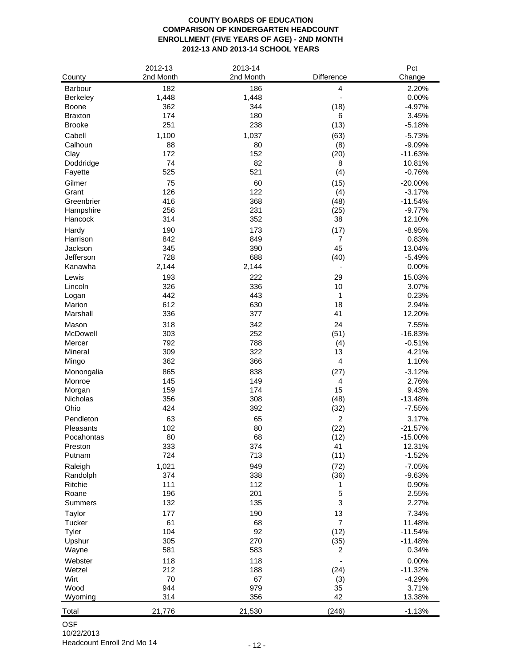# **COUNTY BOARDS OF EDUCATION COMPARISON OF KINDERGARTEN HEADCOUNT ENROLLMENT (FIVE YEARS OF AGE) - 2ND MONTH 2012-13 AND 2013-14 SCHOOL YEARS**

|                | 2012-13   | 2013-14   |                              | Pct       |
|----------------|-----------|-----------|------------------------------|-----------|
| County         | 2nd Month | 2nd Month | Difference                   | Change    |
| Barbour        | 182       | 186       | 4                            | 2.20%     |
| Berkeley       | 1,448     | 1,448     | $\overline{\phantom{m}}$     | 0.00%     |
| Boone          | 362       | 344       | (18)                         | $-4.97%$  |
| <b>Braxton</b> | 174       | 180       | 6                            | 3.45%     |
| <b>Brooke</b>  | 251       | 238       | (13)                         | $-5.18%$  |
| Cabell         |           |           |                              | $-5.73%$  |
|                | 1,100     | 1,037     | (63)                         |           |
| Calhoun        | 88        | 80        | (8)                          | $-9.09%$  |
| Clay           | 172       | 152<br>82 | (20)                         | $-11.63%$ |
| Doddridge      | 74        |           | 8                            | 10.81%    |
| Fayette        | 525       | 521       | (4)                          | $-0.76%$  |
| Gilmer         | 75        | 60        | (15)                         | $-20.00%$ |
| Grant          | 126       | 122       | (4)                          | $-3.17%$  |
| Greenbrier     | 416       | 368       | (48)                         | $-11.54%$ |
| Hampshire      | 256       | 231       | (25)                         | $-9.77%$  |
| Hancock        | 314       | 352       | 38                           | 12.10%    |
| Hardy          | 190       | 173       | (17)                         | $-8.95%$  |
| Harrison       | 842       | 849       | $\overline{7}$               | 0.83%     |
| Jackson        | 345       | 390       | 45                           | 13.04%    |
| Jefferson      | 728       | 688       | (40)                         | $-5.49%$  |
| Kanawha        | 2,144     | 2,144     | $\qquad \qquad \blacksquare$ | 0.00%     |
| Lewis          | 193       | 222       | 29                           | 15.03%    |
| Lincoln        | 326       | 336       | 10                           | 3.07%     |
| Logan          | 442       | 443       | 1                            | 0.23%     |
| Marion         | 612       | 630       | 18                           | 2.94%     |
| Marshall       | 336       | 377       | 41                           | 12.20%    |
| Mason          | 318       | 342       | 24                           | 7.55%     |
| McDowell       | 303       | 252       | (51)                         | $-16.83%$ |
| Mercer         | 792       | 788       | (4)                          | $-0.51%$  |
| Mineral        | 309       | 322       | 13                           | 4.21%     |
| Mingo          | 362       | 366       | 4                            | 1.10%     |
| Monongalia     | 865       | 838       | (27)                         | $-3.12%$  |
| Monroe         | 145       | 149       | 4                            | 2.76%     |
| Morgan         | 159       | 174       | 15                           | 9.43%     |
| Nicholas       | 356       | 308       | (48)                         | $-13.48%$ |
| Ohio           | 424       | 392       | (32)                         | $-7.55%$  |
|                |           |           |                              |           |
| Pendleton      | 63<br>102 | 65<br>80  | $\overline{c}$               | 3.17%     |
| Pleasants      |           | 68        | (22)                         | $-21.57%$ |
| Pocahontas     | 80        |           | (12)                         | $-15.00%$ |
| Preston        | 333       | 374       | 41                           | 12.31%    |
| Putnam         | 724       | 713       | (11)                         | $-1.52%$  |
| Raleigh        | 1,021     | 949       | (72)                         | $-7.05%$  |
| Randolph       | 374       | 338       | (36)                         | $-9.63%$  |
| Ritchie        | 111       | 112       | 1                            | 0.90%     |
| Roane          | 196       | 201       | 5                            | 2.55%     |
| Summers        | 132       | 135       | 3                            | 2.27%     |
| Taylor         | 177       | 190       | 13                           | 7.34%     |
| Tucker         | 61        | 68        | $\overline{7}$               | 11.48%    |
| Tyler          | 104       | 92        | (12)                         | $-11.54%$ |
| Upshur         | 305       | 270       | (35)                         | $-11.48%$ |
| Wayne          | 581       | 583       | 2                            | 0.34%     |
| Webster        | 118       | 118       |                              | 0.00%     |
| Wetzel         | 212       | 188       | (24)                         | $-11.32%$ |
| Wirt           | 70        | 67        | (3)                          | $-4.29%$  |
| Wood           | 944       | 979       | 35                           | 3.71%     |
| Wyoming        | 314       | 356       | 42                           | 13.38%    |
| Total          | 21,776    | 21,530    | (246)                        | $-1.13%$  |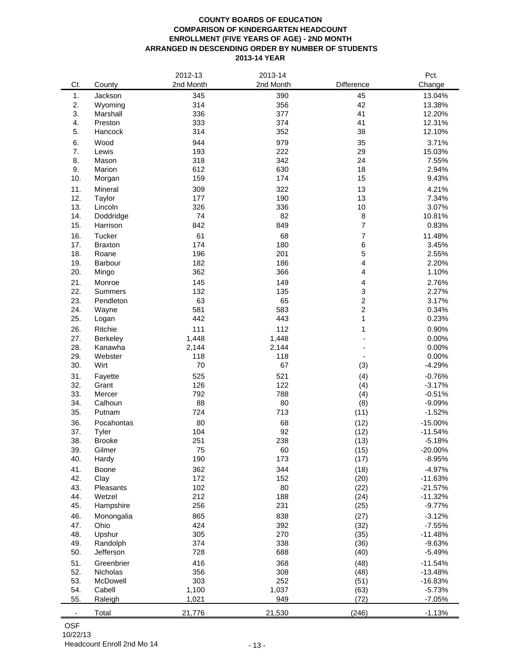### **COUNTY BOARDS OF EDUCATION COMPARISON OF KINDERGARTEN HEADCOUNT ENROLLMENT (FIVE YEARS OF AGE) - 2ND MONTH ARRANGED IN DESCENDING ORDER BY NUMBER OF STUDENTS 2013-14 YEAR**

|                          |                | 2012-13   | 2013-14   |                | Pct.      |
|--------------------------|----------------|-----------|-----------|----------------|-----------|
| Ct.                      | County         | 2nd Month | 2nd Month | Difference     | Change    |
| 1.                       | Jackson        | 345       | 390       | 45             | 13.04%    |
| 2.                       | Wyoming        | 314       | 356       | 42             | 13.38%    |
| 3.                       | Marshall       | 336       | 377       | 41             | 12.20%    |
| 4.                       | Preston        | 333       | 374       | 41             | 12.31%    |
| 5.                       | Hancock        | 314       | 352       | 38             | 12.10%    |
|                          |                |           |           |                |           |
| 6.                       | Wood           | 944       | 979       | 35             | 3.71%     |
| 7.                       | Lewis          | 193       | 222       | 29             | 15.03%    |
| 8.                       | Mason          | 318       | 342       | 24             | 7.55%     |
| 9.                       | Marion         | 612       | 630       | 18             | 2.94%     |
| 10.                      | Morgan         | 159       | 174       | 15             | 9.43%     |
| 11.                      | Mineral        | 309       | 322       | 13             | 4.21%     |
| 12.                      | Taylor         | 177       | 190       | 13             | 7.34%     |
| 13.                      | Lincoln        | 326       | 336       | 10             | 3.07%     |
| 14.                      | Doddridge      | 74        | 82        | 8              | 10.81%    |
| 15.                      | Harrison       | 842       | 849       | $\overline{7}$ | 0.83%     |
| 16.                      | Tucker         | 61        | 68        | 7              | 11.48%    |
| 17.                      | <b>Braxton</b> | 174       | 180       | 6              | 3.45%     |
| 18.                      | Roane          | 196       | 201       | 5              | 2.55%     |
| 19.                      | Barbour        | 182       | 186       | 4              | 2.20%     |
| 20.                      | Mingo          | 362       | 366       | 4              | 1.10%     |
| 21.                      | Monroe         | 145       | 149       | 4              | 2.76%     |
| 22.                      | <b>Summers</b> | 132       | 135       | 3              | 2.27%     |
| 23.                      | Pendleton      | 63        | 65        | $\overline{c}$ | 3.17%     |
| 24.                      | Wayne          | 581       | 583       | $\overline{c}$ | 0.34%     |
| 25.                      | Logan          | 442       | 443       | 1              | 0.23%     |
| 26.                      | Ritchie        | 111       | 112       | 1              | 0.90%     |
| 27.                      | Berkeley       | 1,448     | 1,448     |                | 0.00%     |
| 28.                      | Kanawha        | 2,144     | 2,144     |                | 0.00%     |
| 29.                      | Webster        | 118       | 118       |                | 0.00%     |
| 30.                      | Wirt           | 70        | 67        | (3)            | $-4.29%$  |
| 31.                      | Fayette        | 525       | 521       | (4)            | $-0.76%$  |
| 32.                      | Grant          | 126       | 122       | (4)            | $-3.17%$  |
| 33.                      | Mercer         | 792       | 788       | (4)            | $-0.51%$  |
| 34.                      | Calhoun        | 88        | 80        | (8)            | $-9.09%$  |
| 35.                      | Putnam         | 724       | 713       | (11)           | $-1.52%$  |
| 36.                      | Pocahontas     | 80        | 68        | (12)           | $-15.00%$ |
| 37.                      | Tyler          | 104       | 92        | (12)           | $-11.54%$ |
| 38.                      | <b>Brooke</b>  | 251       | 238       | (13)           | $-5.18%$  |
| 39.                      | Gilmer         | 75        | 60        | (15)           | $-20.00%$ |
| 40.                      | Hardy          | 190       | 173       | (17)           | $-8.95%$  |
| 41.                      | Boone          | 362       | 344       | (18)           | $-4.97%$  |
| 42.                      | Clay           | 172       | 152       | (20)           | $-11.63%$ |
| 43.                      | Pleasants      | 102       | 80        | (22)           | $-21.57%$ |
| 44.                      | Wetzel         | 212       | 188       | (24)           | $-11.32%$ |
| 45.                      | Hampshire      | 256       | 231       | (25)           | $-9.77%$  |
| 46.                      | Monongalia     | 865       | 838       | (27)           | $-3.12%$  |
| 47.                      | Ohio           | 424       | 392       | (32)           | $-7.55%$  |
| 48.                      | Upshur         | 305       | 270       | (35)           | $-11.48%$ |
| 49.                      | Randolph       | 374       | 338       | (36)           | $-9.63%$  |
| 50.                      | Jefferson      | 728       | 688       | (40)           | $-5.49%$  |
|                          |                |           |           |                |           |
| 51.                      | Greenbrier     | 416       | 368       | (48)           | $-11.54%$ |
| 52.                      | Nicholas       | 356       | 308       | (48)           | $-13.48%$ |
| 53.                      | McDowell       | 303       | 252       | (51)           | $-16.83%$ |
| 54.                      | Cabell         | 1,100     | 1,037     | (63)           | $-5.73%$  |
| 55.                      | Raleigh        | 1,021     | 949       | (72)           | $-7.05%$  |
| $\overline{\phantom{a}}$ | Total          | 21,776    | 21,530    | (246)          | $-1.13%$  |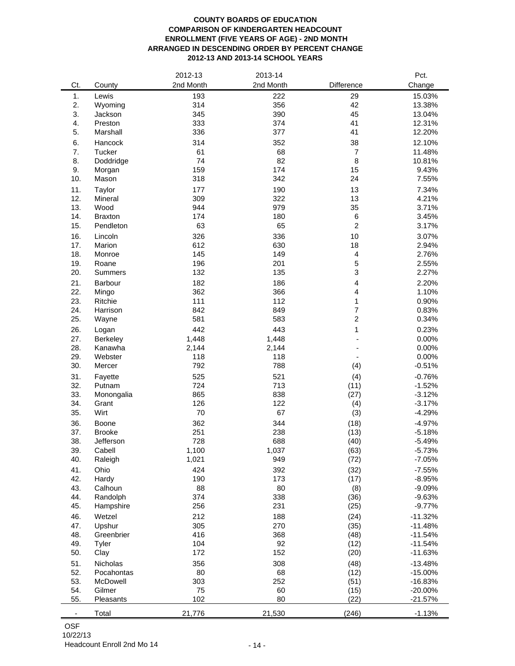### **COUNTY BOARDS OF EDUCATION COMPARISON OF KINDERGARTEN HEADCOUNT ENROLLMENT (FIVE YEARS OF AGE) - 2ND MONTH ARRANGED IN DESCENDING ORDER BY PERCENT CHANGE 2012-13 AND 2013-14 SCHOOL YEARS**

|     |                  | 2012-13    | 2013-14    |                         | Pct.      |
|-----|------------------|------------|------------|-------------------------|-----------|
| Ct. | County           | 2nd Month  | 2nd Month  | Difference              | Change    |
| 1.  | Lewis            | 193        | 222        | 29                      | 15.03%    |
| 2.  | Wyoming          | 314        | 356        | 42                      | 13.38%    |
| 3.  | Jackson          | 345        | 390        | 45                      | 13.04%    |
| 4.  | Preston          | 333        | 374        | 41                      | 12.31%    |
| 5.  | Marshall         | 336        | 377        | 41                      | 12.20%    |
|     |                  |            |            |                         |           |
| 6.  | Hancock          | 314        | 352        | 38                      | 12.10%    |
| 7.  | Tucker           | 61         | 68         | $\overline{7}$          | 11.48%    |
| 8.  | Doddridge        | 74         | 82         | 8                       | 10.81%    |
| 9.  | Morgan           | 159        | 174        | 15                      | 9.43%     |
| 10. | Mason            | 318        | 342        | 24                      | 7.55%     |
| 11. | Taylor           | 177        | 190        | 13                      | 7.34%     |
| 12. | Mineral          | 309        | 322        | 13                      | 4.21%     |
| 13. | Wood             | 944        | 979        | 35                      | 3.71%     |
| 14. | <b>Braxton</b>   | 174        | 180        | 6                       | 3.45%     |
| 15. | Pendleton        | 63         | 65         | $\overline{c}$          | 3.17%     |
| 16. | Lincoln          | 326        | 336        | 10                      | 3.07%     |
| 17. | Marion           | 612        | 630        | 18                      | 2.94%     |
| 18. | Monroe           | 145        | 149        | 4                       | 2.76%     |
| 19. | Roane            | 196        | 201        | $\mathbf 5$             | 2.55%     |
| 20. | <b>Summers</b>   | 132        | 135        | 3                       | 2.27%     |
| 21. | Barbour          | 182        | 186        | $\overline{\mathbf{4}}$ | 2.20%     |
| 22. |                  | 362        | 366        | 4                       | 1.10%     |
| 23. | Mingo<br>Ritchie | 111        | 112        | 1                       | 0.90%     |
|     | Harrison         |            |            | $\overline{7}$          |           |
| 24. |                  | 842<br>581 | 849<br>583 | $\overline{c}$          | 0.83%     |
| 25. | Wayne            |            |            |                         | 0.34%     |
| 26. | Logan            | 442        | 443        | 1                       | 0.23%     |
| 27. | <b>Berkeley</b>  | 1,448      | 1,448      |                         | 0.00%     |
| 28. | Kanawha          | 2,144      | 2,144      |                         | 0.00%     |
| 29. | Webster          | 118        | 118        |                         | 0.00%     |
| 30. | Mercer           | 792        | 788        | (4)                     | $-0.51%$  |
| 31. | Fayette          | 525        | 521        | (4)                     | $-0.76%$  |
| 32. | Putnam           | 724        | 713        | (11)                    | $-1.52%$  |
| 33. | Monongalia       | 865        | 838        | (27)                    | $-3.12%$  |
| 34. | Grant            | 126        | 122        | (4)                     | $-3.17%$  |
| 35. | Wirt             | 70         | 67         | (3)                     | $-4.29%$  |
| 36. | Boone            | 362        | 344        | (18)                    | $-4.97%$  |
| 37. | <b>Brooke</b>    | 251        | 238        | (13)                    | $-5.18%$  |
| 38. | Jefferson        | 728        | 688        | (40)                    | $-5.49%$  |
| 39. | Cabell           | 1,100      | 1,037      | (63)                    | $-5.73%$  |
| 40. | Raleigh          | 1,021      | 949        | (72)                    | $-7.05%$  |
| 41. | Ohio             | 424        | 392        | (32)                    | $-7.55%$  |
| 42. | Hardy            | 190        | 173        | (17)                    | $-8.95%$  |
| 43. | Calhoun          |            | 80         |                         |           |
| 44. | Randolph         | 88         | 338        | (8)                     | $-9.09%$  |
|     |                  | 374        |            | (36)                    | $-9.63%$  |
| 45. | Hampshire        | 256        | 231        | (25)                    | $-9.77%$  |
| 46. | Wetzel           | 212        | 188        | (24)                    | $-11.32%$ |
| 47. | Upshur           | 305        | 270        | (35)                    | $-11.48%$ |
| 48. | Greenbrier       | 416        | 368        | (48)                    | $-11.54%$ |
| 49. | Tyler            | 104        | 92         | (12)                    | $-11.54%$ |
| 50. | Clay             | 172        | 152        | (20)                    | $-11.63%$ |
| 51. | Nicholas         | 356        | 308        | (48)                    | $-13.48%$ |
| 52. | Pocahontas       | 80         | 68         | (12)                    | $-15.00%$ |
| 53. | McDowell         | 303        | 252        | (51)                    | $-16.83%$ |
| 54. | Gilmer           | 75         | 60         | (15)                    | $-20.00%$ |
| 55. | Pleasants        | 102        | 80         | (22)                    | $-21.57%$ |
| ۰   | Total            | 21,776     | 21,530     | (246)                   | $-1.13%$  |
|     |                  |            |            |                         |           |